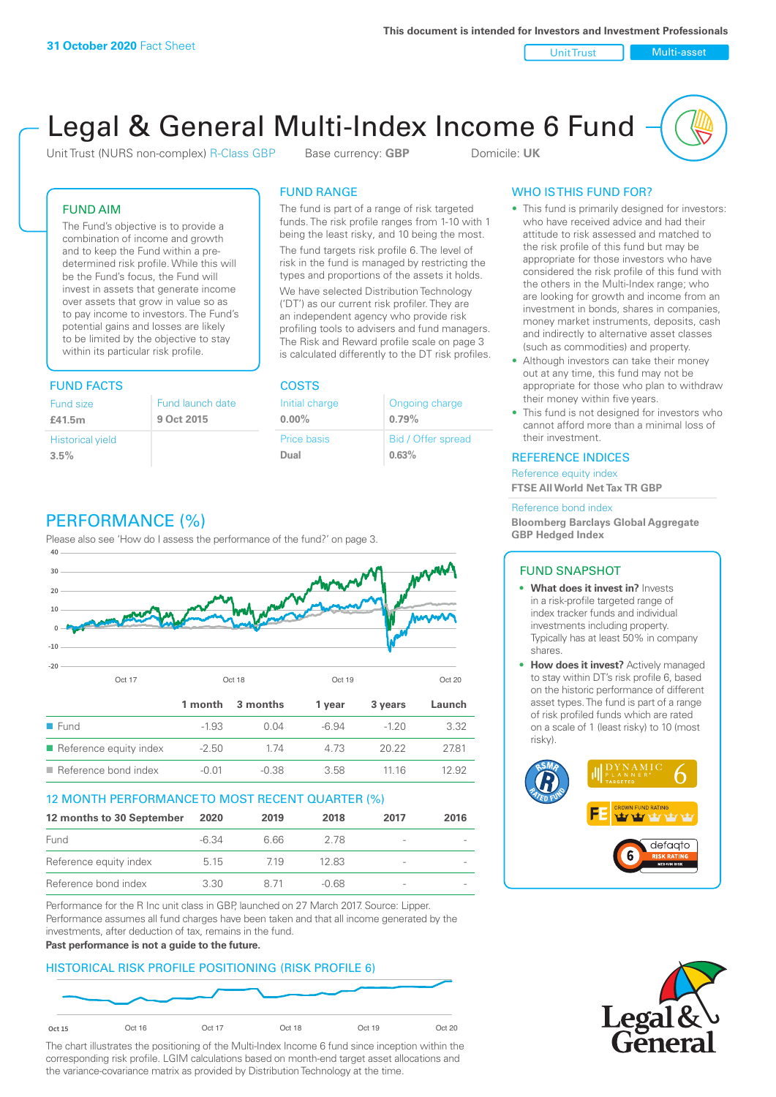Unit Trust Nulti-asset

# Legal & General Multi-Index Income 6 Fund

Unit Trust (NURS non-complex) R-Class GBP Base currency: **GBP** Domicile: UK

### FUND AIM

The Fund's objective is to provide a combination of income and growth and to keep the Fund within a predetermined risk profile. While this will be the Fund's focus, the Fund will invest in assets that generate income over assets that grow in value so as to pay income to investors. The Fund's potential gains and losses are likely to be limited by the objective to stay within its particular risk profile.

### FUND FACTS COSTS

| Fund size               | Fund launch date |
|-------------------------|------------------|
| £41.5m                  | 9 Oct 2015       |
| <b>Historical yield</b> |                  |
| 3.5%                    |                  |

## FUND RANGE

The fund is part of a range of risk targeted funds. The risk profile ranges from 1-10 with 1 being the least risky, and 10 being the most.

The fund targets risk profile 6. The level of risk in the fund is managed by restricting the types and proportions of the assets it holds. We have selected Distribution Technology ('DT') as our current risk profiler. They are an independent agency who provide risk profiling tools to advisers and fund managers. The Risk and Reward profile scale on page 3 is calculated differently to the DT risk profiles.

| Initial charge | Ongoing charge     |
|----------------|--------------------|
| $0.00\%$       | 0.79%              |
| Price basis    | Bid / Offer spread |
| Dual           | 0.63%              |

### WHO IS THIS FUND FOR?

- This fund is primarily designed for investors: who have received advice and had their attitude to risk assessed and matched to the risk profile of this fund but may be appropriate for those investors who have considered the risk profile of this fund with the others in the Multi-Index range; who are looking for growth and income from an investment in bonds, shares in companies, money market instruments, deposits, cash and indirectly to alternative asset classes (such as commodities) and property.
- Although investors can take their money out at any time, this fund may not be appropriate for those who plan to withdraw their money within five years.
- This fund is not designed for investors who cannot afford more than a minimal loss of their investment.

### REFERENCE INDICES

Reference equity index **FTSE All World Net Tax TR GBP**

#### Reference bond index

**Bloomberg Barclays Global Aggregate GBP Hedged Index**

### FUND SNAPSHOT

- **• What does it invest in?** Invests in a risk-profile targeted range of index tracker funds and individual investments including property. Typically has at least 50% in company shares.
- **• How does it invest?** Actively managed to stay within DT's risk profile 6, based on the historic performance of different asset types. The fund is part of a range of risk profiled funds which are rated on a scale of 1 (least risky) to 10 (most risky).





### PERFORMANCE (%)

Please also see 'How do I assess the performance of the fund?' on page 3.



### 12 MONTH PERFORMANCE TO MOST RECENT QUARTER (%)

| 12 months to 30 September | 2020    | 2019 | 2018    | 2017                     | 2016 |
|---------------------------|---------|------|---------|--------------------------|------|
| Fund                      | $-6.34$ | 6.66 | 278     | $\overline{\phantom{a}}$ |      |
| Reference equity index    | 5.15    | 719  | 12.83   | $\overline{\phantom{a}}$ |      |
| Reference bond index      | 3.30    | 8.71 | $-0.68$ | $\sim$                   |      |

Performance for the R Inc unit class in GBP, launched on 27 March 2017. Source: Lipper. Performance assumes all fund charges have been taken and that all income generated by the investments, after deduction of tax, remains in the fund.

#### **Past performance is not a guide to the future.**

### HISTORICAL RISK PROFILE POSITIONING (RISK PROFILE 6)



The chart illustrates the positioning of the Multi-Index Income 6 fund since inception within the corresponding risk profile. LGIM calculations based on month-end target asset allocations and the variance-covariance matrix as provided by Distribution Technology at the time.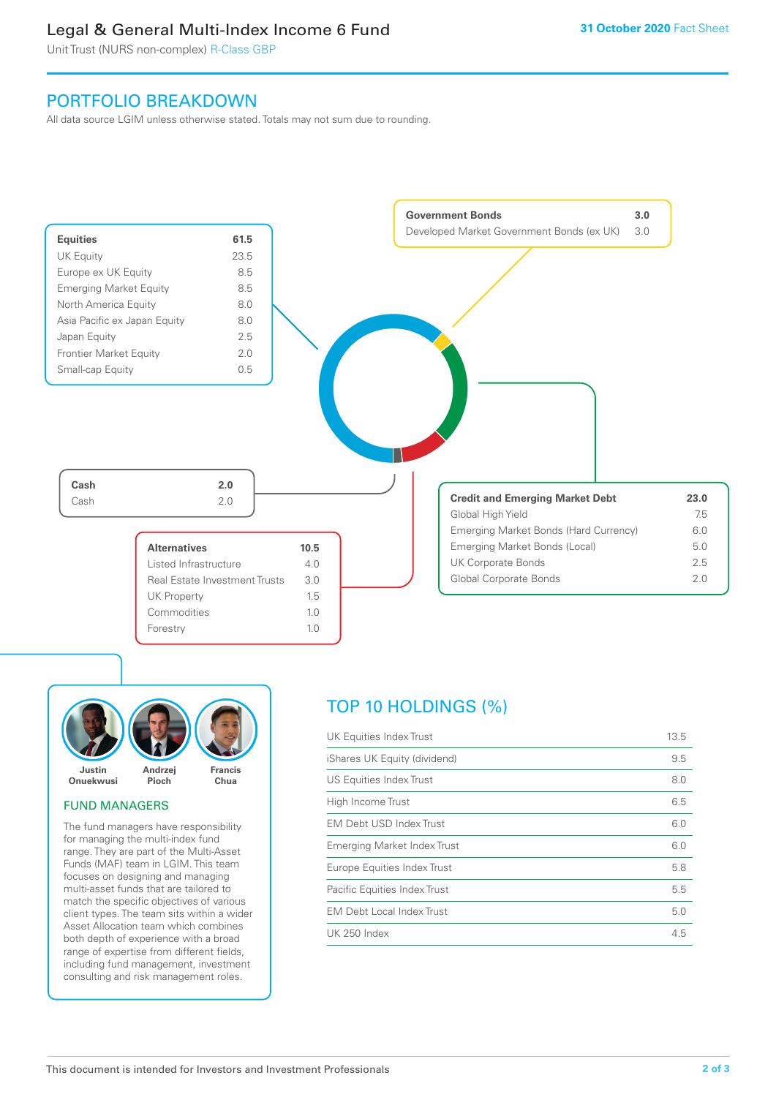### Legal & General Multi-Index Income 6 Fund

Unit Trust (NURS non-complex) R-Class GBP

### PORTFOLIO BREAKDOWN

All data source LGIM unless otherwise stated. Totals may not sum due to rounding.





### FUND MANAGERS

The fund managers have responsibility for managing the multi-index fund range. They are part of the Multi-Asset Funds (MAF) team in LGIM. This team focuses on designing and managing multi-asset funds that are tailored to match the specific objectives of various client types. The team sits within a wider Asset Allocation team which combines both depth of experience with a broad range of expertise from different fields, including fund management, investment consulting and risk management roles.

## TOP 10 HOLDINGS (%)

| UK Equities Index Trust          | 13.5 |
|----------------------------------|------|
| iShares UK Equity (dividend)     | 9.5  |
| US Equities Index Trust          | 8.0  |
| High Income Trust                | 6.5  |
| EM Debt USD Index Trust          | 6.0  |
| Emerging Market Index Trust      | 6.0  |
| Europe Equities Index Trust      | 5.8  |
| Pacific Equities Index Trust     | 5.5  |
| <b>EM Debt Local Index Trust</b> | 5.0  |
| UK 250 Index                     | 4.5  |
|                                  |      |